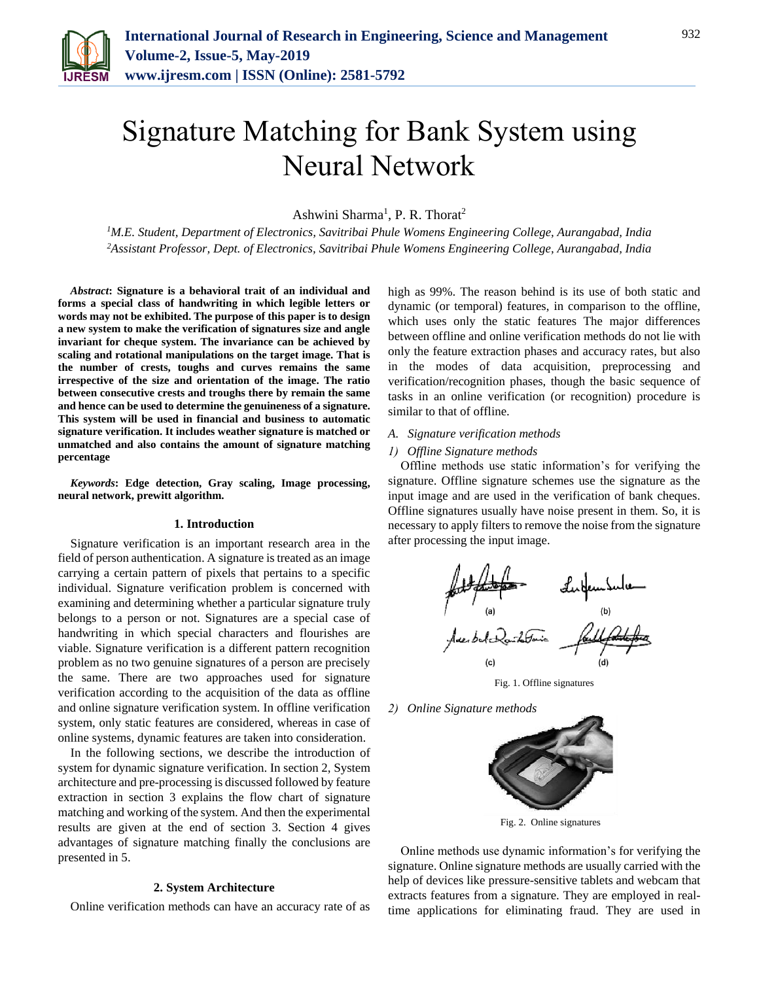

# Signature Matching for Bank System using Neural Network

Ashwini Sharma<sup>1</sup>, P. R. Thorat<sup>2</sup>

*<sup>1</sup>M.E. Student, Department of Electronics, Savitribai Phule Womens Engineering College, Aurangabad, India <sup>2</sup>Assistant Professor, Dept. of Electronics, Savitribai Phule Womens Engineering College, Aurangabad, India*

*Abstract***: Signature is a behavioral trait of an individual and forms a special class of handwriting in which legible letters or words may not be exhibited. The purpose of this paper is to design a new system to make the verification of signatures size and angle invariant for cheque system. The invariance can be achieved by scaling and rotational manipulations on the target image. That is the number of crests, toughs and curves remains the same irrespective of the size and orientation of the image. The ratio between consecutive crests and troughs there by remain the same and hence can be used to determine the genuineness of a signature. This system will be used in financial and business to automatic signature verification. It includes weather signature is matched or unmatched and also contains the amount of signature matching percentage**

*Keywords***: Edge detection, Gray scaling, Image processing, neural network, prewitt algorithm.**

#### **1. Introduction**

Signature verification is an important research area in the field of person authentication. A signature is treated as an image carrying a certain pattern of pixels that pertains to a specific individual. Signature verification problem is concerned with examining and determining whether a particular signature truly belongs to a person or not. Signatures are a special case of handwriting in which special characters and flourishes are viable. Signature verification is a different pattern recognition problem as no two genuine signatures of a person are precisely the same. There are two approaches used for signature verification according to the acquisition of the data as offline and online signature verification system. In offline verification system, only static features are considered, whereas in case of online systems, dynamic features are taken into consideration.

In the following sections, we describe the introduction of system for dynamic signature verification. In section 2, System architecture and pre-processing is discussed followed by feature extraction in section 3 explains the flow chart of signature matching and working of the system. And then the experimental results are given at the end of section 3. Section 4 gives advantages of signature matching finally the conclusions are presented in 5.

#### **2. System Architecture**

Online verification methods can have an accuracy rate of as

high as 99%. The reason behind is its use of both static and dynamic (or temporal) features, in comparison to the offline, which uses only the static features The major differences between offline and online verification methods do not lie with only the feature extraction phases and accuracy rates, but also in the modes of data acquisition, preprocessing and verification/recognition phases, though the basic sequence of tasks in an online verification (or recognition) procedure is similar to that of offline.

### *A. Signature verification methods*

#### *1) Offline Signature methods*

Offline methods use static information's for verifying the signature. Offline signature schemes use the signature as the input image and are used in the verification of bank cheques. Offline signatures usually have noise present in them. So, it is necessary to apply filters to remove the noise from the signature after processing the input image.



Fig. 1. Offline signatures

*2) Online Signature methods* 



Fig. 2. Online signatures

Online methods use dynamic information's for verifying the signature. Online signature methods are usually carried with the help of devices like pressure-sensitive tablets and webcam that extracts features from a signature. They are employed in realtime applications for eliminating fraud. They are used in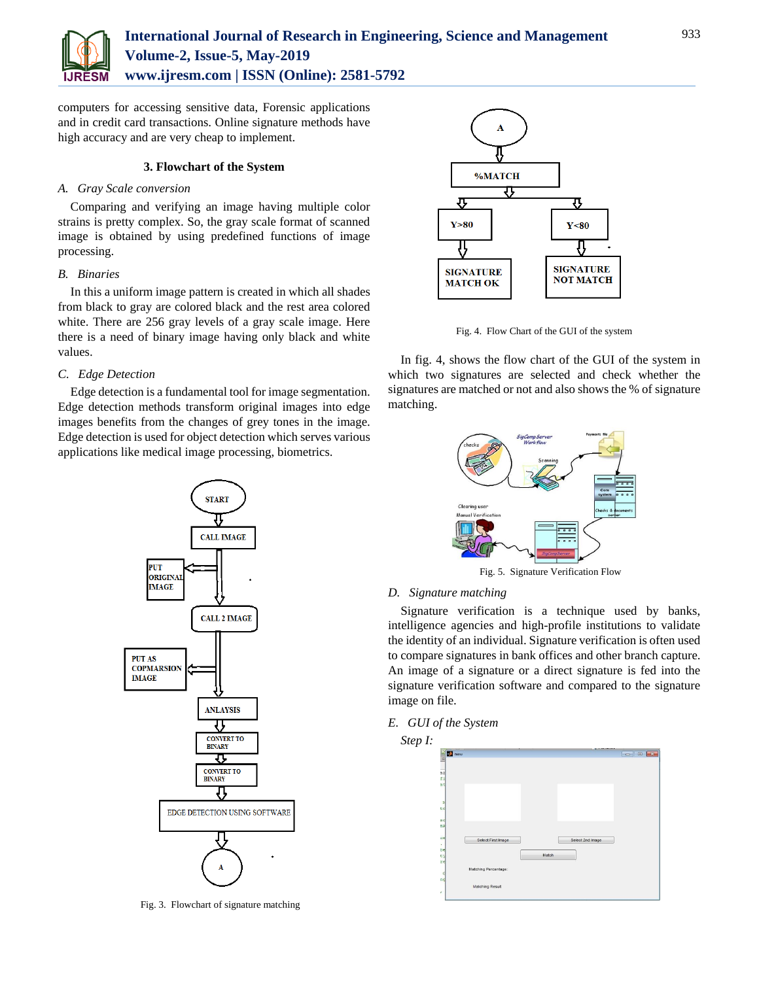

computers for accessing sensitive data, Forensic applications and in credit card transactions. Online signature methods have high accuracy and are very cheap to implement.

## **3. Flowchart of the System**

## *A. Gray Scale conversion*

Comparing and verifying an image having multiple color strains is pretty complex. So, the gray scale format of scanned image is obtained by using predefined functions of image processing.

## *B. Binaries*

In this a uniform image pattern is created in which all shades from black to gray are colored black and the rest area colored white. There are 256 gray levels of a gray scale image. Here there is a need of binary image having only black and white values.

# *C. Edge Detection*

Edge detection is a fundamental tool for image segmentation. Edge detection methods transform original images into edge images benefits from the changes of grey tones in the image. Edge detection is used for object detection which serves various applications like medical image processing, biometrics.



Fig. 3. Flowchart of signature matching



Fig. 4. Flow Chart of the GUI of the system

In fig. 4, shows the flow chart of the GUI of the system in which two signatures are selected and check whether the signatures are matched or not and also shows the % of signature matching.



Fig. 5. Signature Verification Flow

# *D. Signature matching*

Signature verification is a technique used by banks, intelligence agencies and high-profile institutions to validate the identity of an individual. Signature verification is often used to compare signatures in bank offices and other branch capture. An image of a signature or a direct signature is fed into the signature verification software and compared to the signature image on file.

## *E. GUI of the System*